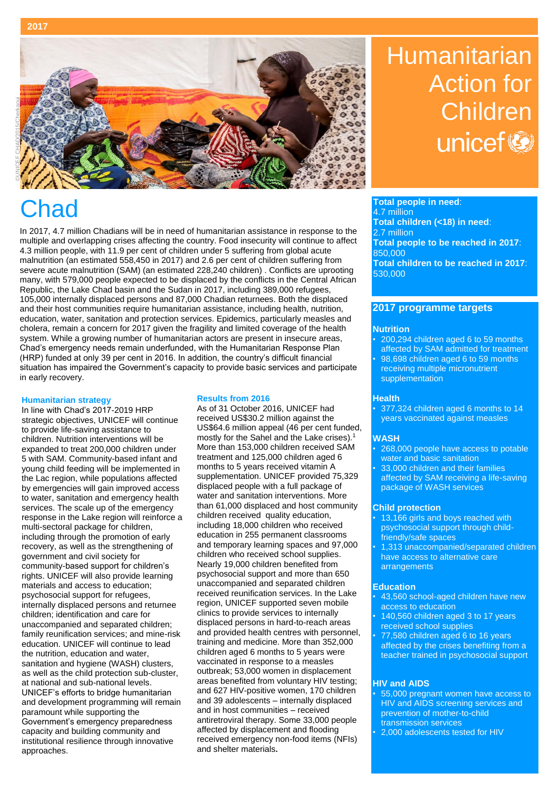### **2017**



In 2017, 4.7 million Chadians will be in need of humanitarian assistance in response to the multiple and overlapping crises affecting the country. Food insecurity will continue to affect 4.3 million people, with 11.9 per cent of children under 5 suffering from global acute malnutrition (an estimated 558,450 in 2017) and 2.6 per cent of children suffering from severe acute malnutrition (SAM) (an estimated 228,240 children) . Conflicts are uprooting many, with 579,000 people expected to be displaced by the conflicts in the Central African Republic, the Lake Chad basin and the Sudan in 2017, including 389,000 refugees, 105,000 internally displaced persons and 87,000 Chadian returnees. Both the displaced and their host communities require humanitarian assistance, including health, nutrition, education, water, sanitation and protection services. Epidemics, particularly measles and cholera, remain a concern for 2017 given the fragility and limited coverage of the health system. While a growing number of humanitarian actors are present in insecure areas, Chad's emergency needs remain underfunded, with the Humanitarian Response Plan (HRP) funded at only 39 per cent in 2016. In addition, the country's difficult financial situation has impaired the Government's capacity to provide basic services and participate in early recovery.

#### **Humanitarian strategy**

In line with Chad's 2017-2019 HRP strategic objectives, UNICEF will continue to provide life-saving assistance to children. Nutrition interventions will be expanded to treat 200,000 children under 5 with SAM. Community-based infant and young child feeding will be implemented in the Lac region, while populations affected by emergencies will gain improved access to water, sanitation and emergency health services. The scale up of the emergency response in the Lake region will reinforce a multi-sectoral package for children, including through the promotion of early recovery, as well as the strengthening of government and civil society for community-based support for children's rights. UNICEF will also provide learning materials and access to education; psychosocial support for refugees, internally displaced persons and returnee children; identification and care for unaccompanied and separated children; family reunification services; and mine-risk education. UNICEF will continue to lead the nutrition, education and water, sanitation and hygiene (WASH) clusters, as well as the child protection sub-cluster, at national and sub-national levels. UNICEF's efforts to bridge humanitarian and development programming will remain paramount while supporting the Government's emergency preparedness capacity and building community and institutional resilience through innovative approaches.

#### **Results from 2016**

As of 31 October 2016, UNICEF had received US\$30.2 million against the US\$64.6 million appeal (46 per cent funded, mostly for the Sahel and the Lake crises).<sup>1</sup> More than 153,000 children received SAM treatment and 125,000 children aged 6 months to 5 years received vitamin A supplementation. UNICEF provided 75,329 displaced people with a full package of water and sanitation interventions. More than 61,000 displaced and host community children received quality education, including 18,000 children who received education in 255 permanent classrooms and temporary learning spaces and 97,000 children who received school supplies. Nearly 19,000 children benefited from psychosocial support and more than 650 unaccompanied and separated children received reunification services. In the Lake region, UNICEF supported seven mobile clinics to provide services to internally displaced persons in hard-to-reach areas and provided health centres with personnel, training and medicine. More than 352,000 children aged 6 months to 5 years were vaccinated in response to a measles outbreak; 53,000 women in displacement areas benefited from voluntary HIV testing; and 627 HIV-positive women, 170 children and 39 adolescents – internally displaced and in host communities – received antiretroviral therapy. Some 33,000 people affected by displacement and flooding received emergency non-food items (NFIs) and shelter materials**.** 

# **Humanitarian** Action for Childrenunicef<sup>®</sup>

**Chad** Total people in need:<br> **Chad** Total people in need:<br>
Total children (-18) is 4.7 million **Total children (<18) in need**: 2.7 million **Total people to be reached in 2017**: 850,000 **Total children to be reached in 2017**: 530,000

## **2017 programme targets**

#### **Nutrition**

- 200,294 children aged 6 to 59 months affected by SAM admitted for treatment
- 98,698 children aged 6 to 59 months receiving multiple micronutrient supplementation

#### **Health**

• 377,324 children aged 6 months to 14 years vaccinated against measles

#### **WASH**

- 268,000 people have access to potable water and basic sanitation
- 33,000 children and their families affected by SAM receiving a life-saving package of WASH services

#### **Child protection**

- 13,166 girls and boys reached with psychosocial support through childfriendly/safe spaces
- 1,313 unaccompanied/separated children have access to alternative care arrangements

#### **Education**

- 43,560 school-aged children have new access to education
- 140,560 children aged 3 to 17 years received school supplies
- 77,580 children aged 6 to 16 years affected by the crises benefiting from a teacher trained in psychosocial support

#### **HIV and AIDS**

- 55,000 pregnant women have access to HIV and AIDS screening services and prevention of mother-to-child .<br>transmission services
- 2,000 adolescents tested for HIV